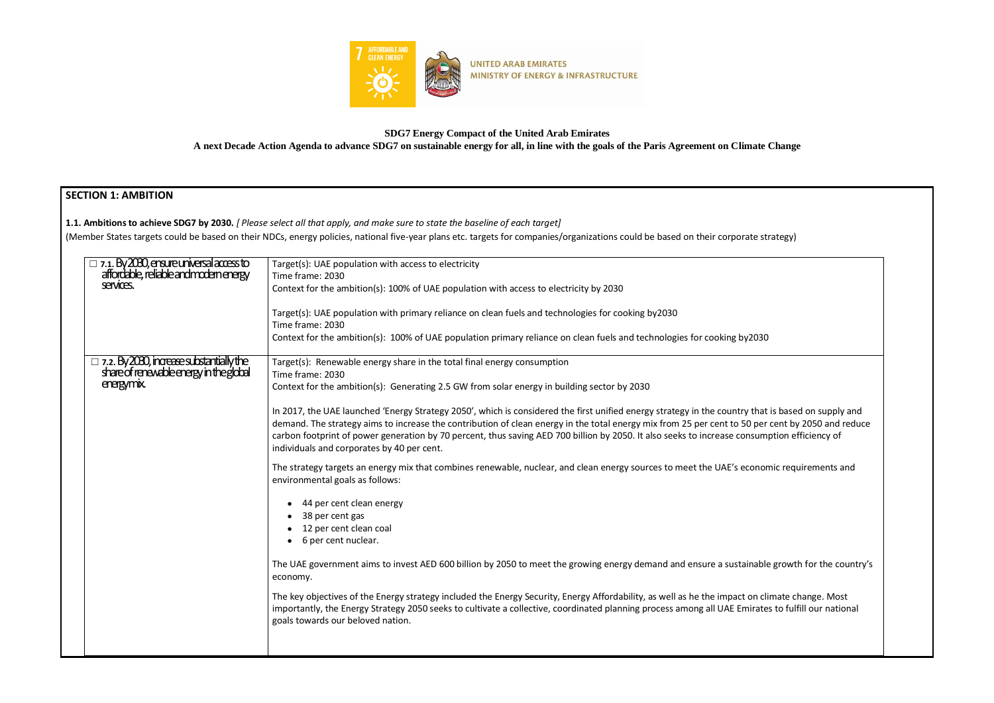

**SDG7 Energy Compact of the United Arab Emirates**

**A next Decade Action Agenda to advance SDG7 on sustainable energy for all, in line with the goals of the Paris Agreement on Climate Change**

## **SECTION 1: AMBITION**

**1.1. Ambitions to achieve SDG7 by 2030.** *[ Please select all that apply, and make sure to state the baseline of each target]* 

(Member States targets could be based on their NDCs, energy policies, national five-year plans etc. targets for companies/organizations could be based on their corporat

| $\Box$ 7.1. By 2030, ensure universal access to                                            | Target(s): UAE population with access to electricity                                                                                                                                                                                                                                                                                                                                                                                                                                                  |
|--------------------------------------------------------------------------------------------|-------------------------------------------------------------------------------------------------------------------------------------------------------------------------------------------------------------------------------------------------------------------------------------------------------------------------------------------------------------------------------------------------------------------------------------------------------------------------------------------------------|
| affordable, reliable and modern energy                                                     | Time frame: 2030                                                                                                                                                                                                                                                                                                                                                                                                                                                                                      |
| services.                                                                                  | Context for the ambition(s): 100% of UAE population with access to electricity by 2030                                                                                                                                                                                                                                                                                                                                                                                                                |
|                                                                                            | Target(s): UAE population with primary reliance on clean fuels and technologies for cooking by2030                                                                                                                                                                                                                                                                                                                                                                                                    |
|                                                                                            | Time frame: 2030                                                                                                                                                                                                                                                                                                                                                                                                                                                                                      |
|                                                                                            | Context for the ambition(s): 100% of UAE population primary reliance on clean fuels and technologies for cooking by2030                                                                                                                                                                                                                                                                                                                                                                               |
| $\Box$ 7.2. By 2030, increase substantially the<br>share of renewable energy in the global | Target(s): Renewable energy share in the total final energy consumption                                                                                                                                                                                                                                                                                                                                                                                                                               |
|                                                                                            | Time frame: 2030                                                                                                                                                                                                                                                                                                                                                                                                                                                                                      |
| energymix.                                                                                 | Context for the ambition(s): Generating 2.5 GW from solar energy in building sector by 2030                                                                                                                                                                                                                                                                                                                                                                                                           |
|                                                                                            | In 2017, the UAE launched 'Energy Strategy 2050', which is considered the first unified energy strategy in the country that is based on supply and<br>demand. The strategy aims to increase the contribution of clean energy in the total energy mix from 25 per cent to 50 per cent by 2050 and reduce<br>carbon footprint of power generation by 70 percent, thus saving AED 700 billion by 2050. It also seeks to increase consumption efficiency of<br>individuals and corporates by 40 per cent. |
|                                                                                            | The strategy targets an energy mix that combines renewable, nuclear, and clean energy sources to meet the UAE's economic requirements and<br>environmental goals as follows:                                                                                                                                                                                                                                                                                                                          |
|                                                                                            | 44 per cent clean energy                                                                                                                                                                                                                                                                                                                                                                                                                                                                              |
|                                                                                            | 38 per cent gas                                                                                                                                                                                                                                                                                                                                                                                                                                                                                       |
|                                                                                            | 12 per cent clean coal                                                                                                                                                                                                                                                                                                                                                                                                                                                                                |
|                                                                                            | 6 per cent nuclear.                                                                                                                                                                                                                                                                                                                                                                                                                                                                                   |
|                                                                                            | The UAE government aims to invest AED 600 billion by 2050 to meet the growing energy demand and ensure a sustainable growth for the country's<br>economy.                                                                                                                                                                                                                                                                                                                                             |
|                                                                                            | The key objectives of the Energy strategy included the Energy Security, Energy Affordability, as well as he the impact on climate change. Most<br>importantly, the Energy Strategy 2050 seeks to cultivate a collective, coordinated planning process among all UAE Emirates to fulfill our national<br>goals towards our beloved nation.                                                                                                                                                             |
|                                                                                            |                                                                                                                                                                                                                                                                                                                                                                                                                                                                                                       |

| te strategy)                                                                         |
|--------------------------------------------------------------------------------------|
|                                                                                      |
|                                                                                      |
| 2030                                                                                 |
|                                                                                      |
| that is based on supply and<br>per cent by 2050 and reduce<br>sumption efficiency of |
| onomic requirements and                                                              |
|                                                                                      |
|                                                                                      |
| nable growth for the country's                                                       |
| on climate change. Most<br>irates to fulfill our national                            |
|                                                                                      |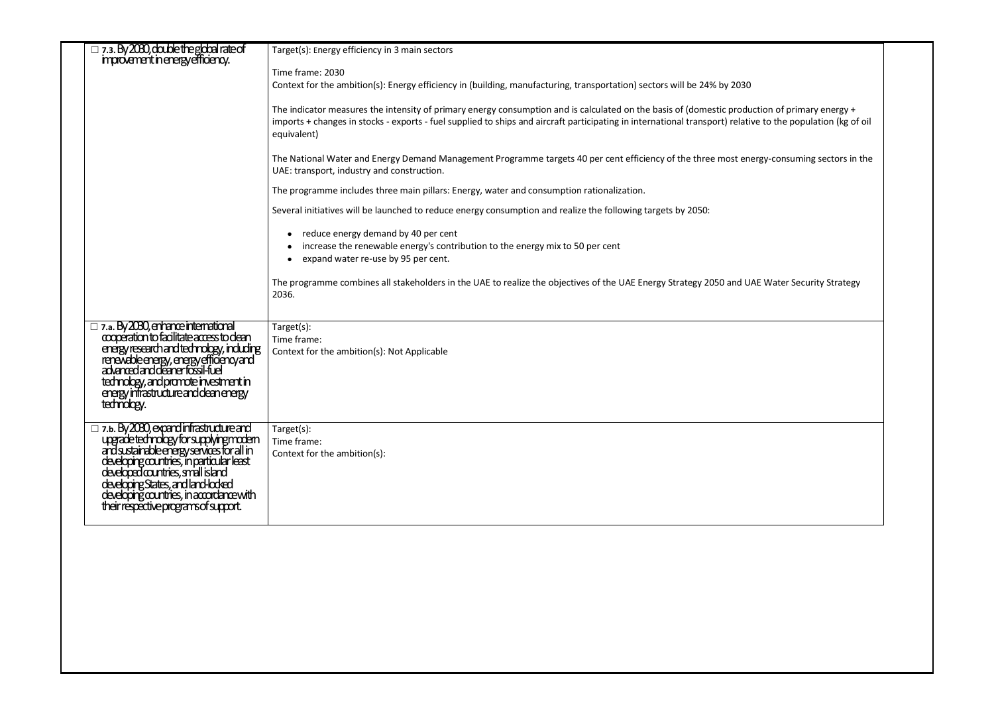| improvement in energy efficiency.                                                                                                                                                                                                                                                                                   | Target(s): Energy efficiency in 3 main sectors                                                                                                                                                                                                                                                                              |
|---------------------------------------------------------------------------------------------------------------------------------------------------------------------------------------------------------------------------------------------------------------------------------------------------------------------|-----------------------------------------------------------------------------------------------------------------------------------------------------------------------------------------------------------------------------------------------------------------------------------------------------------------------------|
|                                                                                                                                                                                                                                                                                                                     | Time frame: 2030<br>Context for the ambition(s): Energy efficiency in (building, manufacturing, transportation) sectors will be 24% by 2030                                                                                                                                                                                 |
|                                                                                                                                                                                                                                                                                                                     | The indicator measures the intensity of primary energy consumption and is calculated on the basis of (domestic production of primary energy +<br>imports + changes in stocks - exports - fuel supplied to ships and aircraft participating in international transport) relative to the population (kg of oil<br>equivalent) |
|                                                                                                                                                                                                                                                                                                                     | The National Water and Energy Demand Management Programme targets 40 per cent efficiency of the three most energy-consuming sectors in the<br>UAE: transport, industry and construction.                                                                                                                                    |
|                                                                                                                                                                                                                                                                                                                     | The programme includes three main pillars: Energy, water and consumption rationalization.                                                                                                                                                                                                                                   |
|                                                                                                                                                                                                                                                                                                                     | Several initiatives will be launched to reduce energy consumption and realize the following targets by 2050:                                                                                                                                                                                                                |
|                                                                                                                                                                                                                                                                                                                     | • reduce energy demand by 40 per cent<br>increase the renewable energy's contribution to the energy mix to 50 per cent<br>expand water re-use by 95 per cent.                                                                                                                                                               |
|                                                                                                                                                                                                                                                                                                                     | The programme combines all stakeholders in the UAE to realize the objectives of the UAE Energy Strategy 2050 and UAE Water Security Strategy<br>2036.                                                                                                                                                                       |
| $\Box$ 7.a. By 2030, enhance international cooperation to facilitate access to clean<br>experience including to continuously including<br>renewable energy, energy efficiency and<br>advanced and deaner fossil-fuel<br>tednology, and promote investment in<br>energy infrastructure and dean energy<br>tednology. | Target(s):<br>Time frame:<br>Context for the ambition(s): Not Applicable                                                                                                                                                                                                                                                    |
| □ 7.b. By 2030, expandinfrastructure and<br>upgradetednology for supplying modern<br>and sustainable energy services for all in<br>developing countries, in particular least<br>developing States, and land-locked<br>developing countries,                                                                         | Target(s):<br>Time frame:<br>Context for the ambition(s):                                                                                                                                                                                                                                                                   |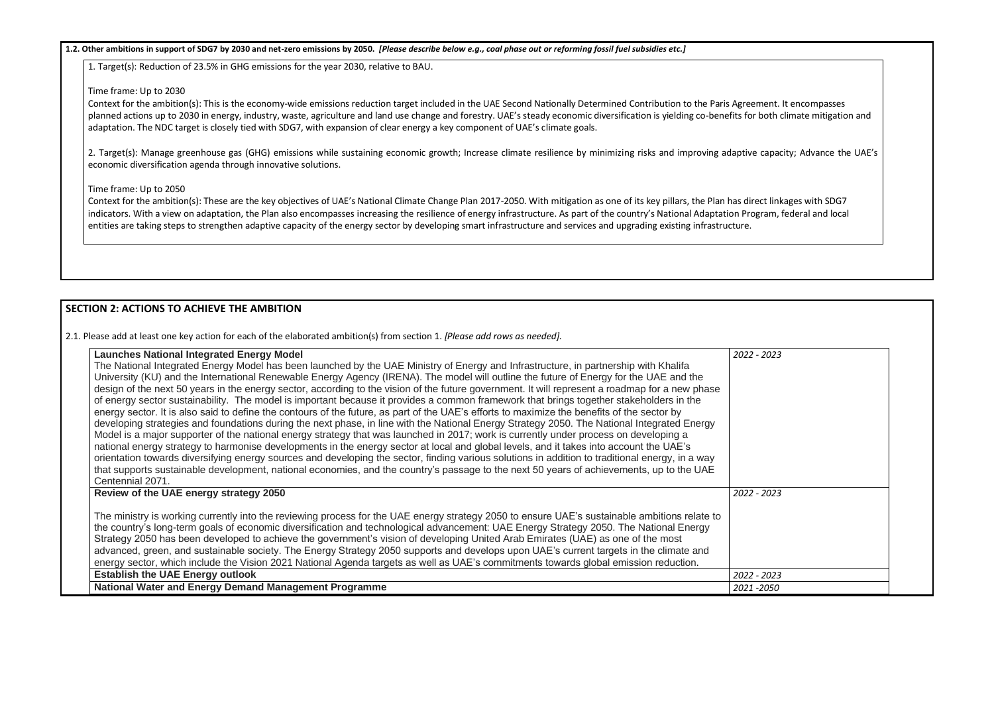#### **1.2. Other ambitions in support of SDG7 by 2030 and net-zero emissions by 2050.** *[Please describe below e.g., coal phase out or reforming fossil fuel subsidies etc.]*

1. Target(s): Reduction of 23.5% in GHG emissions for the year 2030, relative to BAU.

#### Time frame: Up to 2030

2. Target(s): Manage greenhouse gas (GHG) emissions while sustaining economic growth; Increase climate resilience by minimizing risks and improving adaptive capacity; Advance the UAE's economic diversification agenda through innovative solutions.

Context for the ambition(s): This is the economy-wide emissions reduction target included in the UAE Second Nationally Determined Contribution to the Paris Agreement. It encompasses planned actions up to 2030 in energy, industry, waste, agriculture and land use change and forestry. UAE's steady economic diversification is yielding co-benefits for both climate mitigation and adaptation. The NDC target is closely tied with SDG7, with expansion of clear energy a key component of UAE's climate goals.

#### Time frame: Up to 2050

Context for the ambition(s): These are the key objectives of UAE's National Climate Change Plan 2017-2050. With mitigation as one of its key pillars, the Plan has direct linkages with SDG7 indicators. With a view on adaptation, the Plan also encompasses increasing the resilience of energy infrastructure. As part of the country's National Adaptation Program, federal and local entities are taking steps to strengthen adaptive capacity of the energy sector by developing smart infrastructure and services and upgrading existing infrastructure.

### **SECTION 2: ACTIONS TO ACHIEVE THE AMBITION**

2.1. Please add at least one key action for each of the elaborated ambition(s) from section 1. *[Please add rows as needed].*

| <b>Launches National Integrated Energy Model</b><br>The National Integrated Energy Model has been launched by the UAE Ministry of Energy and Infrastructure, in partnership with Khalifa<br>University (KU) and the International Renewable Energy Agency (IRENA). The model will outline the future of Energy for the UAE and the<br>design of the next 50 years in the energy sector, according to the vision of the future government. It will represent a roadmap for a new phase<br>of energy sector sustainability. The model is important because it provides a common framework that brings together stakeholders in the<br>energy sector. It is also said to define the contours of the future, as part of the UAE's efforts to maximize the benefits of the sector by<br>developing strategies and foundations during the next phase, in line with the National Energy Strategy 2050. The National Integrated Energy<br>Model is a major supporter of the national energy strategy that was launched in 2017; work is currently under process on developing a<br>national energy strategy to harmonise developments in the energy sector at local and global levels, and it takes into account the UAE's<br>orientation towards diversifying energy sources and developing the sector, finding various solutions in addition to traditional energy, in a way<br>that supports sustainable development, national economies, and the country's passage to the next 50 years of achievements, up to the UAE<br>Centennial 2071. |             |
|----------------------------------------------------------------------------------------------------------------------------------------------------------------------------------------------------------------------------------------------------------------------------------------------------------------------------------------------------------------------------------------------------------------------------------------------------------------------------------------------------------------------------------------------------------------------------------------------------------------------------------------------------------------------------------------------------------------------------------------------------------------------------------------------------------------------------------------------------------------------------------------------------------------------------------------------------------------------------------------------------------------------------------------------------------------------------------------------------------------------------------------------------------------------------------------------------------------------------------------------------------------------------------------------------------------------------------------------------------------------------------------------------------------------------------------------------------------------------------------------------------------------------------------|-------------|
| Review of the UAE energy strategy 2050<br>The ministry is working currently into the reviewing process for the UAE energy strategy 2050 to ensure UAE's sustainable ambitions relate to<br>the country's long-term goals of economic diversification and technological advancement: UAE Energy Strategy 2050. The National Energy<br>Strategy 2050 has been developed to achieve the government's vision of developing United Arab Emirates (UAE) as one of the most<br>advanced, green, and sustainable society. The Energy Strategy 2050 supports and develops upon UAE's current targets in the climate and<br>energy sector, which include the Vision 2021 National Agenda targets as well as UAE's commitments towards global emission reduction.                                                                                                                                                                                                                                                                                                                                                                                                                                                                                                                                                                                                                                                                                                                                                                                 | 2022 - 2023 |
| <b>Establish the UAE Energy outlook</b>                                                                                                                                                                                                                                                                                                                                                                                                                                                                                                                                                                                                                                                                                                                                                                                                                                                                                                                                                                                                                                                                                                                                                                                                                                                                                                                                                                                                                                                                                                | 2022 - 2023 |
| National Water and Energy Demand Management Programme                                                                                                                                                                                                                                                                                                                                                                                                                                                                                                                                                                                                                                                                                                                                                                                                                                                                                                                                                                                                                                                                                                                                                                                                                                                                                                                                                                                                                                                                                  | 2021 - 2050 |

| 2022 - 2023   |  |
|---------------|--|
|               |  |
|               |  |
|               |  |
|               |  |
|               |  |
|               |  |
|               |  |
|               |  |
|               |  |
| $2022 - 2023$ |  |
|               |  |
|               |  |
|               |  |
|               |  |
|               |  |
| 2022 - 2023   |  |
| 2021 - 2050   |  |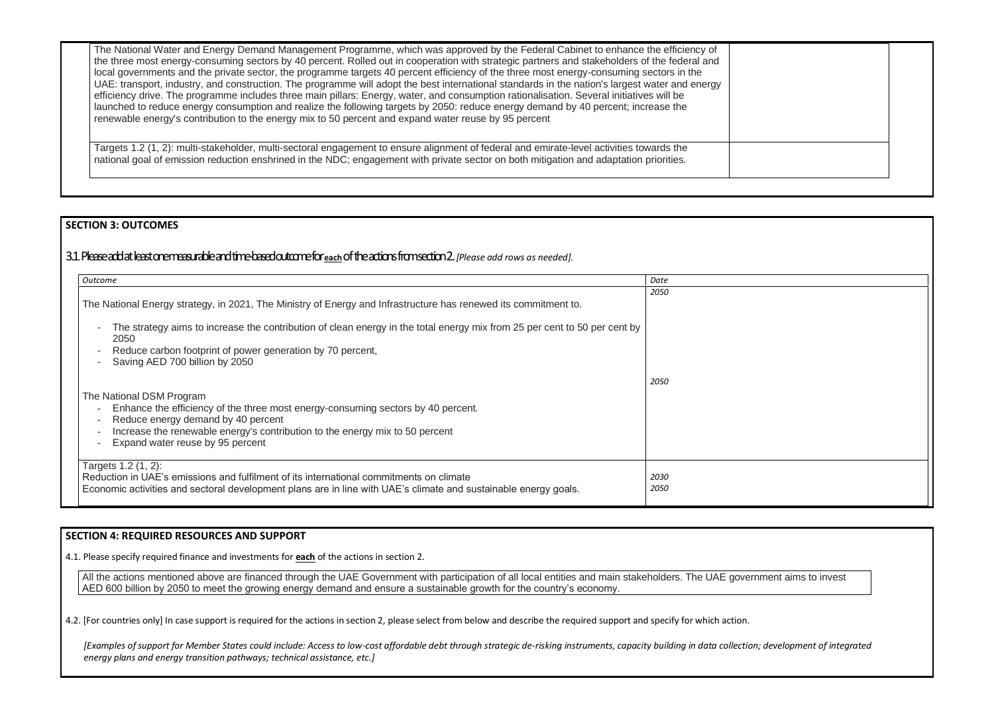The National Water and Energy Demand Management Programme, which was approved by the Federal Cabinet to enhance the efficiency of the three most energy-consuming sectors by 40 percent. Rolled out in cooperation with strategic partners and stakeholders of the federal and local governments and the private sector, the programme targets 40 percent efficiency of the three most energy-consuming sectors in the UAE: transport, industry, and construction. The programme will adopt the best international standards in the nation's largest water and energy efficiency drive. The programme includes three main pillars: Energy, water, and consumption rationalisation. Several initiatives will be launched to reduce energy consumption and realize the following targets by 2050: reduce energy demand by 40 percent; increase the renewable energy's contribution to the energy mix to 50 percent and expand water reuse by 95 percent

Targets 1.2 (1, 2): multi-stakeholder, multi-sectoral engagement to ensure alignment of federal and emirate-level activities towards the national goal of emission reduction enshrined in the NDC; engagement with private sector on both mitigation and adaptation priorities*.* 

### **SECTION 3: OUTCOMES**

## 3.1*.* Please add at least one measurable and time-based outcome for **each**of the actions from section 2. *[Please add rows as needed].*

All the actions mentioned above are financed through the UAE Government with participation of all local entities and main stakeholders. The UAE government aims to invest AED 600 billion by 2050 to meet the growing energy demand and ensure a sustainable growth for the country's economy.

4.2. [For countries only] In case support is required for the actions in section 2, please select from below and describe the required support and specify for which action.

| Outcome                                                                                                                                                                                                                                                                                                                                                                                                                        | Date         |
|--------------------------------------------------------------------------------------------------------------------------------------------------------------------------------------------------------------------------------------------------------------------------------------------------------------------------------------------------------------------------------------------------------------------------------|--------------|
| The National Energy strategy, in 2021, The Ministry of Energy and Infrastructure has renewed its commitment to.<br>The strategy aims to increase the contribution of clean energy in the total energy mix from 25 per cent to 50 per cent by<br>$\overline{\phantom{a}}$<br>2050<br>Reduce carbon footprint of power generation by 70 percent,<br>$\overline{\phantom{a}}$<br>Saving AED 700 billion by 2050<br>$\blacksquare$ | 2050<br>2050 |
| The National DSM Program<br>Enhance the efficiency of the three most energy-consuming sectors by 40 percent.<br>$\blacksquare$<br>Reduce energy demand by 40 percent<br>$\overline{\phantom{a}}$<br>Increase the renewable energy's contribution to the energy mix to 50 percent<br>$\blacksquare$<br>Expand water reuse by 95 percent<br>$\overline{\phantom{a}}$                                                             |              |
| Targets 1.2 (1, 2):<br>Reduction in UAE's emissions and fulfilment of its international commitments on climate<br>Economic activities and sectoral development plans are in line with UAE's climate and sustainable energy goals.                                                                                                                                                                                              | 2030<br>2050 |

#### **SECTION 4: REQUIRED RESOURCES AND SUPPORT**

4.1. Please specify required finance and investments for **each** of the actions in section 2.

*[Examples of support for Member States could include: Access to low-cost affordable debt through strategic de-risking instruments, capacity building in data collection; development of integrated energy plans and energy transition pathways; technical assistance, etc.]*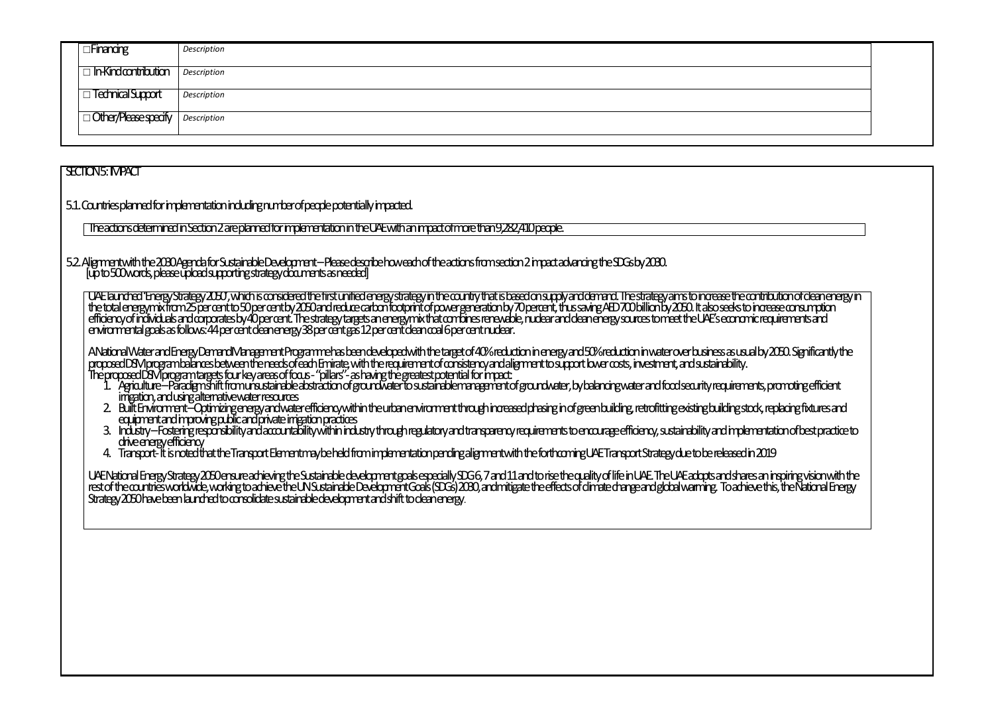| <b>Financing</b>           | Description |  |
|----------------------------|-------------|--|
| $\Box$ In-Kindcontribution | Description |  |
| <b>Technical Support</b>   | Description |  |
| Other/Please specify       | Description |  |
|                            |             |  |

## SECTION 5: IMPACT

## 5.2. Alignment with the 2030 Agenda for Sustainable Development –Please describe how each of the actions from section 2 impact advancing the SDGs by 2030. [up to 500 words, please upload supporting strategy documents as needed]

5.1. Countries planned for implementation including number of people potentially impacted.

The UAE launched 'Energy Strategy 2050', which is considered the first unified energy strategy in the country that is based on supply and demand. The strategy aims to increase the contribution of clean energy in the total energy mix from 25 per cent to 50 per cent by 2050 and reduce carbon from orient of power generation by 70 percent, thus saving AED 700 billion by 2050. It also seeks to increase consumption efficiency of individuals and corporates by 40 per cent. The strategy targets an energy mix that combines renewable, nuclear and clean energy sources to meet the UAE's economic requirements and environmental goals as follows: 44 per cent clean energy 38 per cent gas 12 per cent clean coal 6 per cent nuclear.

The actions determined in Section 2 are planned for implementation in the UAE with an impact of more than 9,282,410 people.

- 1. Agriculture –Paradigm shift from unsustainable abstraction of groundwater to sustainable management of groundwater, by balancing water and food security requirements, promoting efficient irrigation, and using alternative water resources
- 2. Built Environment –Optimizing energy and water efficiency within the urban environment through increased phasing in of green building, retrofitting existing building stock, replacing fixtures and equipment and improving public and private irrigation practices
- 3. Industry-Fostering responsibility and accountability within industry through regulatory and transparency requirements to encourage efficiency, sustainability and implementation of best practice to drive energy efficiency
- 4. Transport-It is noted that the Transport Element may be held from implementation pending alignment with the forthcoming UAE Transport Strategy due to be released in 2019

A National Water and Energy Demand Management Programme has been developed with the target of 40% reduction in energy and 50% reduction in water over business as usual by 2050. Significantly the proposed DSM program balances between the needs of each Emirate, with the requirement of consistency and alignment to support lower costs, investment, and sustainability. The proposed DSM program targets four key areas of focus -"pillars"-as having the greatest potential for impact:

UAE National Energy Strategy 2050 ensure achieving the Sustainable development goals especially SDG 6, 7 and 11 and to rise the quality of life in UAE. The UAE adopts and shares an inspiring vision with the rest of the countries worldwide, working to achieve the UN Sustainable Development Goals (SDGs) 2030, and mitigate the effects of climate change and global warming. To achieve this, the National Energy Strategy 2050 have been launched to consolidate sustainable development and shift to clean energy.

- 
-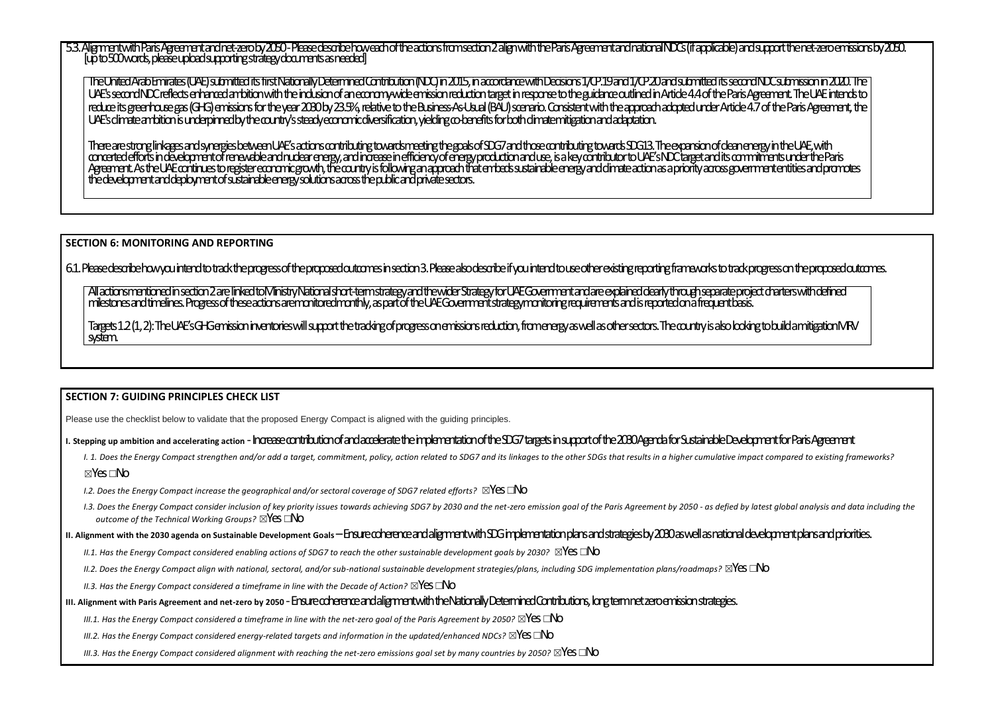5.3. Alignment with Paris Agreement and net-zero by 2050 -Please describe how each of the actions from section 2 align with the Paris Agreement and national NDCs (if applicable) and support the net-zero emissions by 2050. [up to 500 words, please upload supporting strategy documents as needed]

The United Arab Emirates (UAE) submitted its first Nationally Determined Contribution (NDC) in 2015, in accordance with Decisions 1/CP.19 and 1/CP.20 and submitted its second NDC submission in 2020. The UAE's second NDC reflects enhanced ambition with the inclusion of an economy-wide emission reduction target in response to the guidance outlined in Article 4.4 of the Paris Agreement. The UAE intends to reduce its greenhouse gas (GHG) emissions for the year 2030 by 23.5%, relative to the Business-As-Usual (BAU) scenario. Consistent with the approach adopted under Article 4.7 of the Paris Agreement, the UAE's climate ambition is underpinned by the country's steady economic diversification, yielding co-benefits for both climate mitigation and adaptation.

There are strong linkages and synergies between UAE's actions contributing the goals of SDG7 and those contributing towards SDG13. The expansion of clean energy in the UAE, with concerted efforts in development of renewable and nuclear energy, and increase in efficiency of energy production and use, is a key contributor to UAE's NDC target and its commitments under the Paris Agrement. As the UAE continues to register economic growth, the country is following an approach that embeds sustainable energy and climate action as a priority across government entities and promotes the development and deployment of sustainable energy solutions across the public and private sectors.

All actions mentioned in section 2 are linked to Ministry National short-term strategy and the wider Strategy for UAE Government and are explained dearly through separate project charters with defined milestones and timelines. Progress of these actionsare monitored monthly, as part of the UAE Government strategy monitoring requirements and is reported on a frequent basis.

**SECTION 6: MONITORING AND REPORTING** 

6.1. Please describe how you intend to track the progress of the proposed outcomes in section 3. Please also describe if you intend to use other existing reporting frameworks to track progress on the proposed outcomes.

Targets 1.2 (1, 2): The UAE's GHG emission inventories will support the tracking of progress on emissions reduction, from energy aswell as other sectors. The country is also looking to build a mitigation MRV system.

#### **SECTION 7: GUIDING PRINCIPLES CHECK LIST**

Please use the checklist below to validate that the proposed Energy Compact is aligned with the guiding principles.

# **I. Stepping up ambition and accelerating action** -Increase contribution of and accelerate the implementation of the SDG7 targets in support of the 2030 Agenda for Sustainable Development for Paris Agreement

- I. 1. Does the Energy Compact strengthen and/or add a target, commitment, policy, action related to SDG7 and its linkages to the other SDGs that results in a higher cumulative impact compared to existing frameworks? ☒Yes ☐No
- *I.2. Does the Energy Compact increase the geographical and/or sectoral coverage of SDG7 related efforts?* ⊠Yes □No
- 1.3. Does the Energy Compact consider inclusion of key priority issues towards achieving SDG7 by 2030 and the net-zero emission goal of the Paris Agreement by 2050 as defied by latest global analysis and data including t *outcome of the Technical Working Groups?* ⊠Yes □No
- II. Alignment with the 2030 agenda on Sustainable Development Goals–Ensure coherence and alignment with SDG implementation plans and strategies by 2030 as well as national development plans and priorities.
	- *II.1. Has the Energy Compact considered enabling actions of SDG7 to reach the other sustainable development goals by 2030?* ⊠YeS □NO
	- *II.2. Does the Energy Compact align with national, sectoral, and/or sub-national sustainable development strategies/plans, including SDG implementation plans/roadmaps? ⊠YeS □NO*
	- *II.3. Has the Energy Compact considered a timeframe in line with the Decade of Action?* ⊠YeS □No
- III. Alignment with Paris Agreement and net-zero by 2050 Ensure coherence and alignment with the Nationally Determined Contributions, long term net zero emission strategies.
	- *III.1. Has the Energy Compact considered a timeframe in line with the net-zero goal of the Paris Agreement by 2050?* ⊠YeS □No
	- *III.2. Has the Energy Compact considered energy-related targets and information in the updated/enhanced NDCs?* ⊠YeS □No
	- *III.3. Has the Energy Compact considered alignment with reaching the net-zero emissions goal set by many countries by 2050?* ⊠**YeS** □**No**